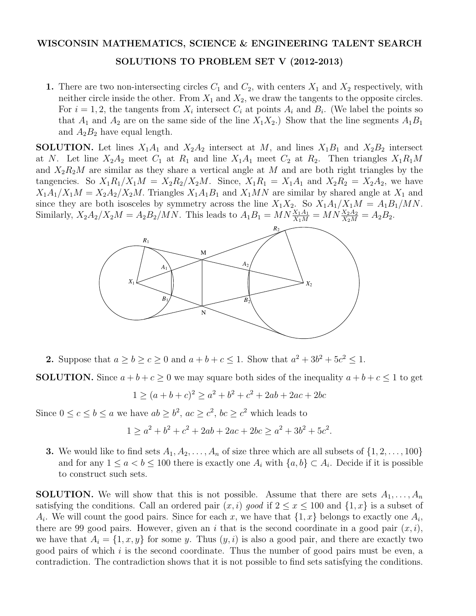## WISCONSIN MATHEMATICS, SCIENCE & ENGINEERING TALENT SEARCH

## SOLUTIONS TO PROBLEM SET V (2012-2013)

1. There are two non-intersecting circles  $C_1$  and  $C_2$ , with centers  $X_1$  and  $X_2$  respectively, with neither circle inside the other. From  $X_1$  and  $X_2$ , we draw the tangents to the opposite circles. For  $i = 1, 2$ , the tangents from  $X_i$  intersect  $C_i$  at points  $A_i$  and  $B_i$ . (We label the points so that  $A_1$  and  $A_2$  are on the same side of the line  $X_1X_2$ .) Show that the line segments  $A_1B_1$ and  $A_2B_2$  have equal length.

**SOLUTION.** Let lines  $X_1A_1$  and  $X_2A_2$  intersect at M, and lines  $X_1B_1$  and  $X_2B_2$  intersect at *N*. Let line  $X_2A_2$  meet  $C_1$  at  $R_1$  and line  $X_1A_1$  meet  $C_2$  at  $R_2$ . Then triangles  $X_1R_1M$ and  $X_2R_2M$  are similar as they share a vertical angle at M and are both right triangles by the tangencies. So  $X_1R_1/X_1M = X_2R_2/X_2M$ . Since,  $X_1R_1 = X_1A_1$  and  $X_2R_2 = X_2A_2$ , we have  $X_1A_1/X_1M = X_2A_2/X_2M$ . Triangles  $X_1A_1B_1$  and  $X_1MN$  are similar by shared angle at  $X_1$  and since they are both isosceles by symmetry across the line  $X_1X_2$ . So  $X_1A_1/X_1M = A_1B_1/MN$ . Similarly,  $X_2A_2/X_2M = A_2B_2/MN$ . This leads to  $A_1B_1 = MN\frac{X_1A_1}{X_1M} = MN\frac{X_2A_2}{X_2M} = A_2B_2$ .



**2.** Suppose that  $a \ge b \ge c \ge 0$  and  $a + b + c \le 1$ . Show that  $a^2 + 3b^2 + 5c^2 \le 1$ .

**SOLUTION.** Since  $a + b + c \ge 0$  we may square both sides of the inequality  $a + b + c \le 1$  to get

$$
1 \ge (a+b+c)^2 \ge a^2 + b^2 + c^2 + 2ab + 2ac + 2bc
$$

Since  $0 \le c \le b \le a$  we have  $ab \ge b^2$ ,  $ac \ge c^2$ ,  $bc \ge c^2$  which leads to

$$
1 \ge a^2 + b^2 + c^2 + 2ab + 2ac + 2bc \ge a^2 + 3b^2 + 5c^2.
$$

**3.** We would like to find sets  $A_1, A_2, \ldots, A_n$  of size three which are all subsets of  $\{1, 2, \ldots, 100\}$ and for any  $1 \leq a < b \leq 100$  there is exactly one  $A_i$  with  $\{a, b\} \subset A_i$ . Decide if it is possible to construct such sets.

**SOLUTION.** We will show that this is not possible. Assume that there are sets  $A_1, \ldots, A_n$ satisfying the conditions. Call an ordered pair  $(x, i)$  good if  $2 \le x \le 100$  and  $\{1, x\}$  is a subset of  $A_i$ . We will count the good pairs. Since for each *x*, we have that  $\{1, x\}$  belongs to exactly one  $A_i$ , there are 99 good pairs. However, given an *i* that is the second coordinate in a good pair  $(x, i)$ , we have that  $A_i = \{1, x, y\}$  for some *y*. Thus  $(y, i)$  is also a good pair, and there are exactly two good pairs of which *i* is the second coordinate. Thus the number of good pairs must be even, a contradiction. The contradiction shows that it is not possible to find sets satisfying the conditions.